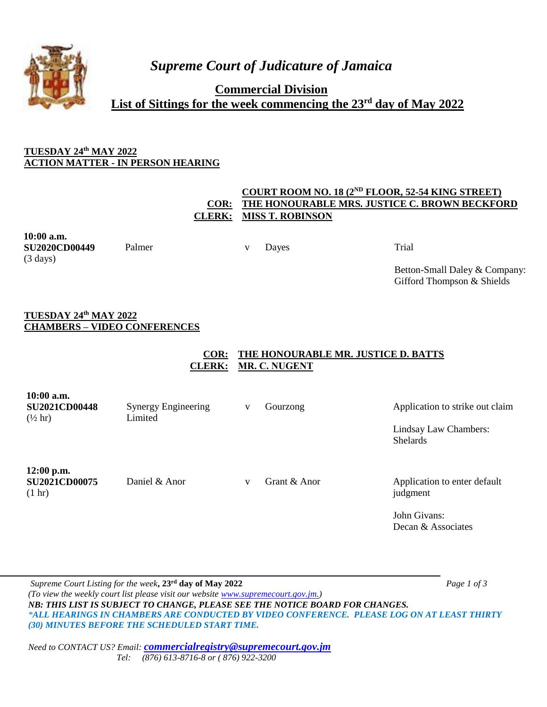

*Supreme Court of Judicature of Jamaica*

**Commercial Division List of Sittings for the week commencing the 23rd day of May 2022**

### **TUESDAY 24th MAY 2022 ACTION MATTER - IN PERSON HEARING**

# **COR: THE HONOURABLE MRS. JUSTICE C. BROWN BECKFORD COURT ROOM NO. 18 (2ND FLOOR, 52-54 KING STREET) CLERK: MISS T. ROBINSON**

**10:00 a.m. SU2020CD00449** (3 days)

Palmer v Dayes Trial

Betton-Small Daley & Company: Gifford Thompson & Shields

### **TUESDAY 24th MAY 2022 CHAMBERS – VIDEO CONFERENCES**

## **COR: THE HONOURABLE MR. JUSTICE D. BATTS CLERK: MR. C. NUGENT**

| $10:00$ a.m.<br><b>SU2021CD00448</b><br>$(\frac{1}{2}$ hr) | <b>Synergy Engineering</b><br>Limited | V | Gourzong     | Application to strike out claim<br>Lindsay Law Chambers:<br><b>Shelards</b> |
|------------------------------------------------------------|---------------------------------------|---|--------------|-----------------------------------------------------------------------------|
| $12:00$ p.m.<br><b>SU2021CD00075</b><br>(1 hr)             | Daniel & Anor                         | V | Grant & Anor | Application to enter default<br>judgment                                    |

John Givans: Decan & Associates

*Supreme Court Listing for the week***, 23rd day of May 2022** *Page 1 of 3 (To view the weekly court list please visit our website [www.supremecourt.gov.jm.](http://www.supremecourt.gov.jm/)) NB: THIS LIST IS SUBJECT TO CHANGE, PLEASE SEE THE NOTICE BOARD FOR CHANGES. \*ALL HEARINGS IN CHAMBERS ARE CONDUCTED BY VIDEO CONFERENCE. PLEASE LOG ON AT LEAST THIRTY (30) MINUTES BEFORE THE SCHEDULED START TIME.*

*Need to CONTACT US? Email: [commercialregistry@supremecourt.gov.jm](mailto:commercialregistry@supremecourt.gov.jm) Tel: (876) 613-8716-8 or ( 876) 922-3200*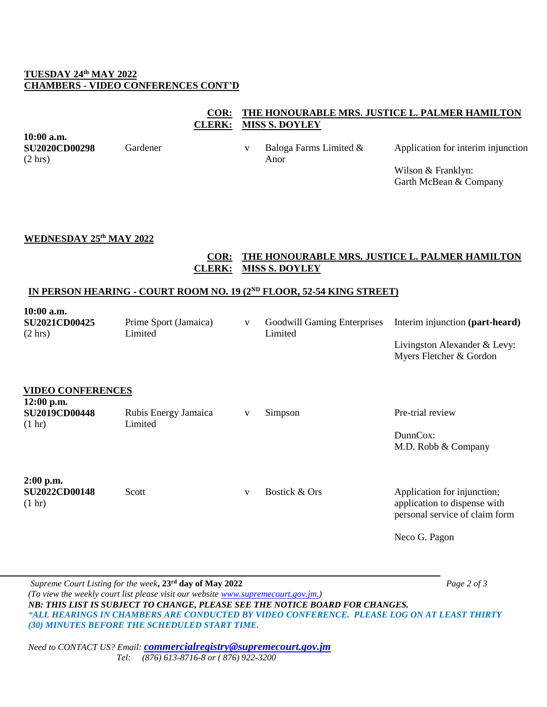### **TUESDAY 24th MAY 2022 CHAMBERS - VIDEO CONFERENCES CONT'D**

# **COR: THE HONOURABLE MRS. JUSTICE L. PALMER HAMILTON CLERK: MISS S. DOYLEY**

**10:00 a.m. SU2020CD00298**

 $(2 \text{ hrs})$ 

Gardener v Baloga Farms Limited & Anor

Application for interim injunction

Wilson & Franklyn: Garth McBean & Company

## **WEDNESDAY 25th MAY 2022**

## **COR: THE HONOURABLE MRS. JUSTICE L. PALMER HAMILTON CLERK: MISS S. DOYLEY**

# **IN PERSON HEARING - COURT ROOM NO. 19 (2ND FLOOR, 52-54 KING STREET)**

| 10:00 a.m.<br><b>SU2021CD00425</b><br>(2 hr)                                       | Prime Sport (Jamaica)<br>Limited | V | <b>Goodwill Gaming Enterprises</b><br>Limited | Interim injunction (part-heard)<br>Livingston Alexander & Levy:<br>Myers Fletcher & Gordon    |
|------------------------------------------------------------------------------------|----------------------------------|---|-----------------------------------------------|-----------------------------------------------------------------------------------------------|
| <b>VIDEO CONFERENCES</b><br>12:00 p.m.<br><b>SU2019CD00448</b><br>$(1 \text{ hr})$ | Rubis Energy Jamaica<br>Limited  | V | Simpson                                       | Pre-trial review<br>DunnCox:<br>M.D. Robb & Company                                           |
| $2:00$ p.m.<br><b>SU2022CD00148</b><br>$(1 \text{ hr})$                            | Scott                            | V | Bostick & Ors                                 | Application for injunction;<br>application to dispense with<br>personal service of claim form |

Neco G. Pagon

*Supreme Court Listing for the week***, 23rd day of May 2022** *Page 2 of 3 (To view the weekly court list please visit our website [www.supremecourt.gov.jm.](http://www.supremecourt.gov.jm/)) NB: THIS LIST IS SUBJECT TO CHANGE, PLEASE SEE THE NOTICE BOARD FOR CHANGES. \*ALL HEARINGS IN CHAMBERS ARE CONDUCTED BY VIDEO CONFERENCE. PLEASE LOG ON AT LEAST THIRTY (30) MINUTES BEFORE THE SCHEDULED START TIME.*

*Need to CONTACT US? Email: [commercialregistry@supremecourt.gov.jm](mailto:commercialregistry@supremecourt.gov.jm) Tel: (876) 613-8716-8 or ( 876) 922-3200*